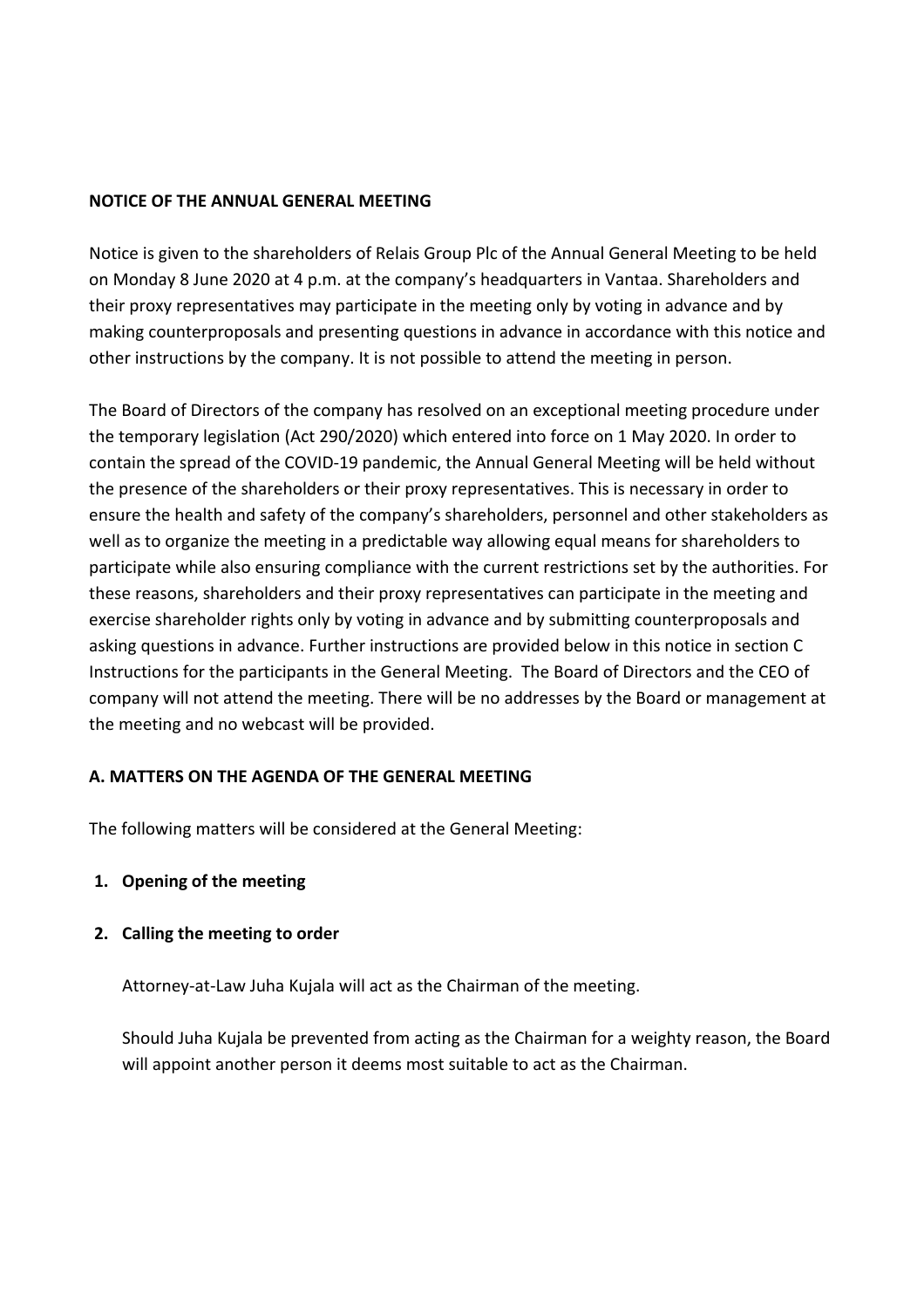#### **NOTICE OF THE ANNUAL GENERAL MEETING**

Notice is given to the shareholders of Relais Group Plc of the Annual General Meeting to be held on Monday 8 June 2020 at 4 p.m. at the company's headquarters in Vantaa. Shareholders and their proxy representatives may participate in the meeting only by voting in advance and by making counterproposals and presenting questions in advance in accordance with this notice and other instructions by the company. It is not possible to attend the meeting in person.

The Board of Directors of the company has resolved on an exceptional meeting procedure under the temporary legislation (Act 290/2020) which entered into force on 1 May 2020. In order to contain the spread of the COVID-19 pandemic, the Annual General Meeting will be held without the presence of the shareholders or their proxy representatives. This is necessary in order to ensure the health and safety of the company's shareholders, personnel and other stakeholders as well as to organize the meeting in a predictable way allowing equal means for shareholders to participate while also ensuring compliance with the current restrictions set by the authorities. For these reasons, shareholders and their proxy representatives can participate in the meeting and exercise shareholder rights only by voting in advance and by submitting counterproposals and asking questions in advance. Further instructions are provided below in this notice in section C Instructions for the participants in the General Meeting. The Board of Directors and the CEO of company will not attend the meeting. There will be no addresses by the Board or management at the meeting and no webcast will be provided.

### **A. MATTERS ON THE AGENDA OF THE GENERAL MEETING**

The following matters will be considered at the General Meeting:

### **1. Opening of the meeting**

### **2. Calling the meeting to order**

Attorney-at-Law Juha Kujala will act as the Chairman of the meeting.

Should Juha Kujala be prevented from acting as the Chairman for a weighty reason, the Board will appoint another person it deems most suitable to act as the Chairman.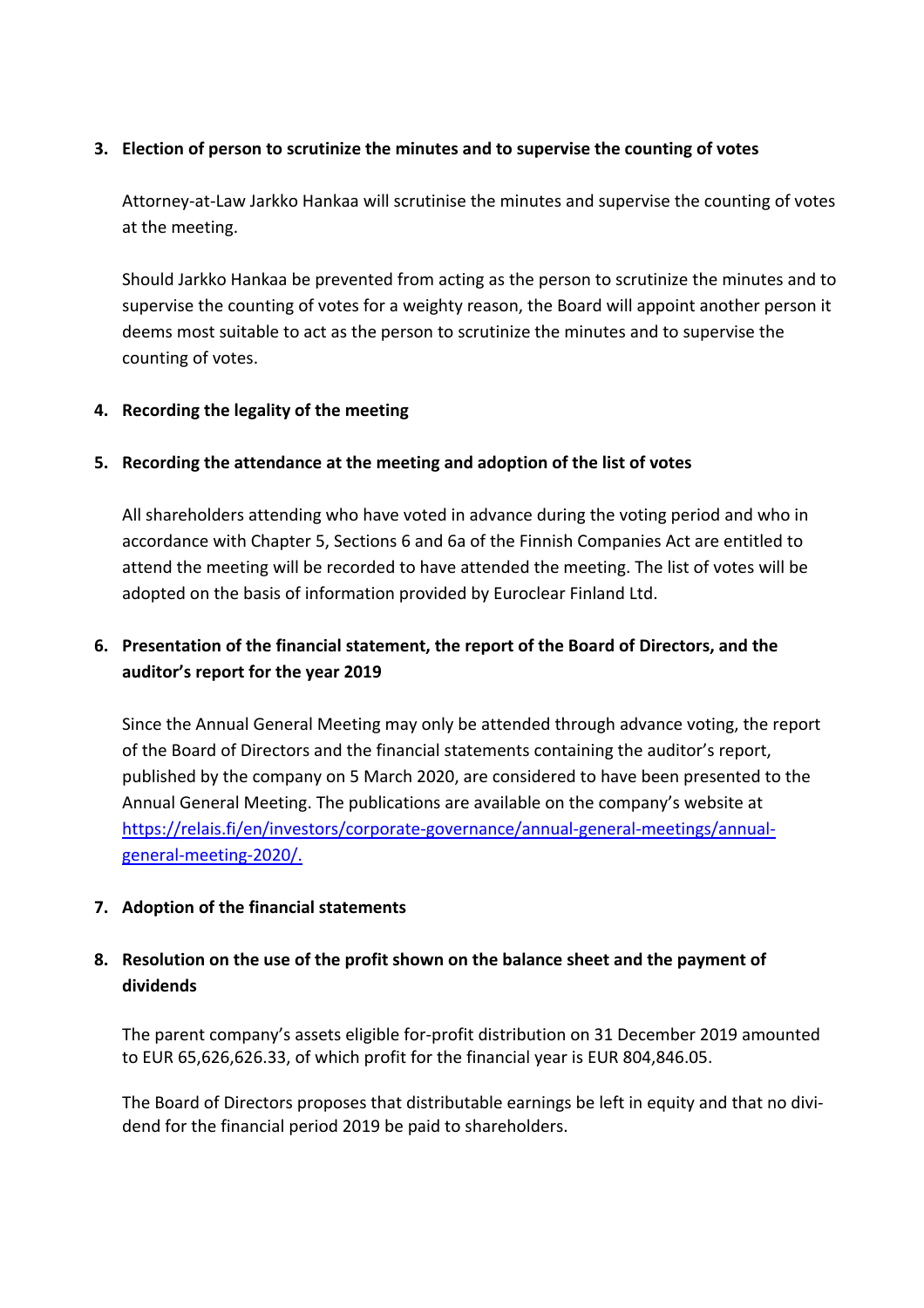### **3. Election of person to scrutinize the minutes and to supervise the counting of votes**

Attorney-at-Law Jarkko Hankaa will scrutinise the minutes and supervise the counting of votes at the meeting.

Should Jarkko Hankaa be prevented from acting as the person to scrutinize the minutes and to supervise the counting of votes for a weighty reason, the Board will appoint another person it deems most suitable to act as the person to scrutinize the minutes and to supervise the counting of votes.

### **4. Recording the legality of the meeting**

### **5. Recording the attendance at the meeting and adoption of the list of votes**

All shareholders attending who have voted in advance during the voting period and who in accordance with Chapter 5, Sections 6 and 6a of the Finnish Companies Act are entitled to attend the meeting will be recorded to have attended the meeting. The list of votes will be adopted on the basis of information provided by Euroclear Finland Ltd.

# **6. Presentation of the financial statement, the report of the Board of Directors, and the auditor's report for the year 2019**

Since the Annual General Meeting may only be attended through advance voting, the report of the Board of Directors and the financial statements containing the auditor's report, published by the company on 5 March 2020, are considered to have been presented to the Annual General Meeting. The publications are available on the company's website at https://relais.fi/en/investors/corporate-governance/annual-general-meetings/annualgeneral-meeting-2020/.

### **7. Adoption of the financial statements**

# **8. Resolution on the use of the profit shown on the balance sheet and the payment of dividends**

The parent company's assets eligible for-profit distribution on 31 December 2019 amounted to EUR 65,626,626.33, of which profit for the financial year is EUR 804,846.05.

The Board of Directors proposes that distributable earnings be left in equity and that no dividend for the financial period 2019 be paid to shareholders.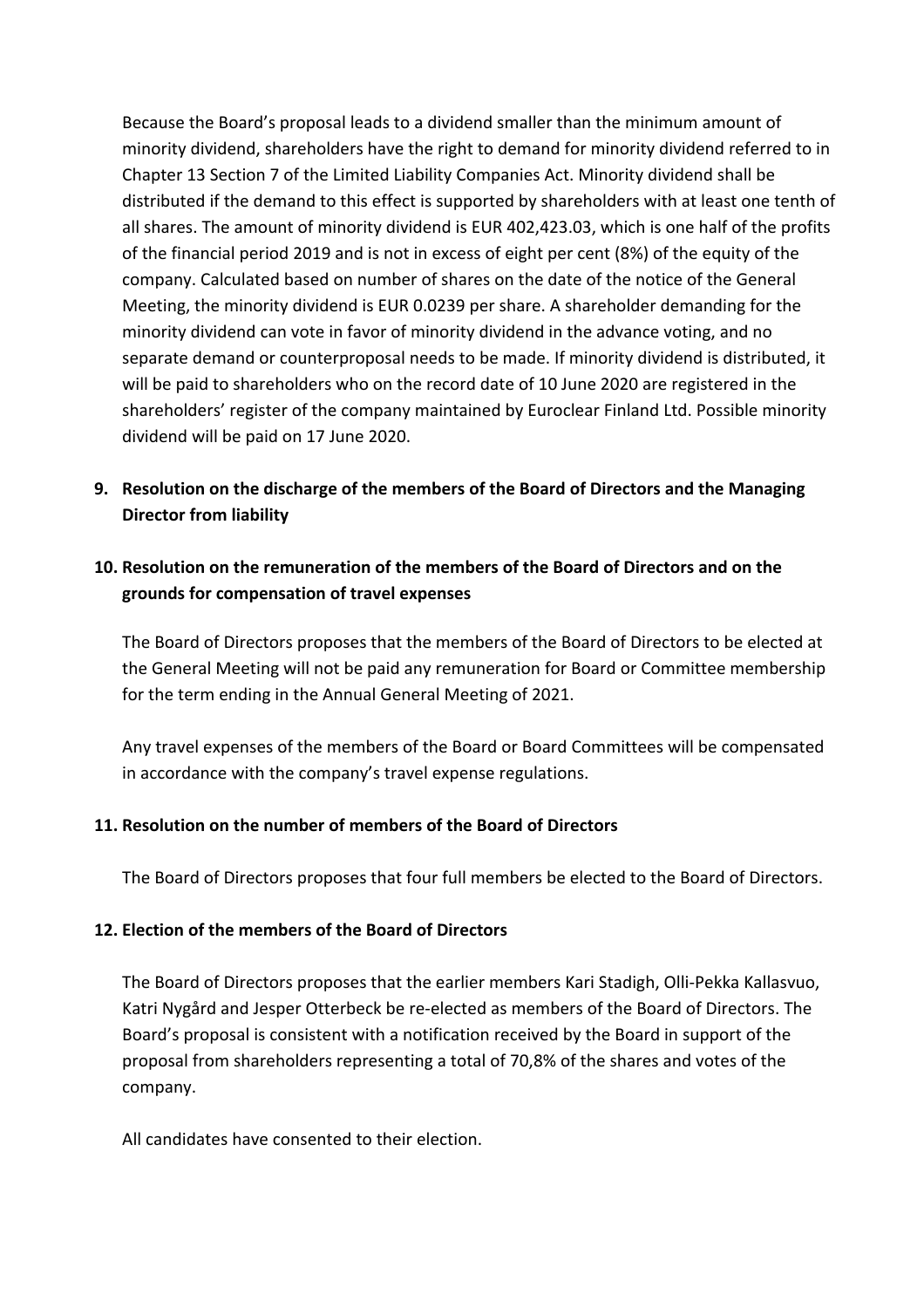Because the Board's proposal leads to a dividend smaller than the minimum amount of minority dividend, shareholders have the right to demand for minority dividend referred to in Chapter 13 Section 7 of the Limited Liability Companies Act. Minority dividend shall be distributed if the demand to this effect is supported by shareholders with at least one tenth of all shares. The amount of minority dividend is EUR 402,423.03, which is one half of the profits of the financial period 2019 and is not in excess of eight per cent (8%) of the equity of the company. Calculated based on number of shares on the date of the notice of the General Meeting, the minority dividend is EUR 0.0239 per share. A shareholder demanding for the minority dividend can vote in favor of minority dividend in the advance voting, and no separate demand or counterproposal needs to be made. If minority dividend is distributed, it will be paid to shareholders who on the record date of 10 June 2020 are registered in the shareholders' register of the company maintained by Euroclear Finland Ltd. Possible minority dividend will be paid on 17 June 2020.

**9. Resolution on the discharge of the members of the Board of Directors and the Managing Director from liability**

# **10. Resolution on the remuneration of the members of the Board of Directors and on the grounds for compensation of travel expenses**

The Board of Directors proposes that the members of the Board of Directors to be elected at the General Meeting will not be paid any remuneration for Board or Committee membership for the term ending in the Annual General Meeting of 2021.

Any travel expenses of the members of the Board or Board Committees will be compensated in accordance with the company's travel expense regulations.

### **11. Resolution on the number of members of the Board of Directors**

The Board of Directors proposes that four full members be elected to the Board of Directors.

### **12. Election of the members of the Board of Directors**

The Board of Directors proposes that the earlier members Kari Stadigh, Olli-Pekka Kallasvuo, Katri Nygård and Jesper Otterbeck be re-elected as members of the Board of Directors. The Board's proposal is consistent with a notification received by the Board in support of the proposal from shareholders representing a total of 70,8% of the shares and votes of the company.

All candidates have consented to their election.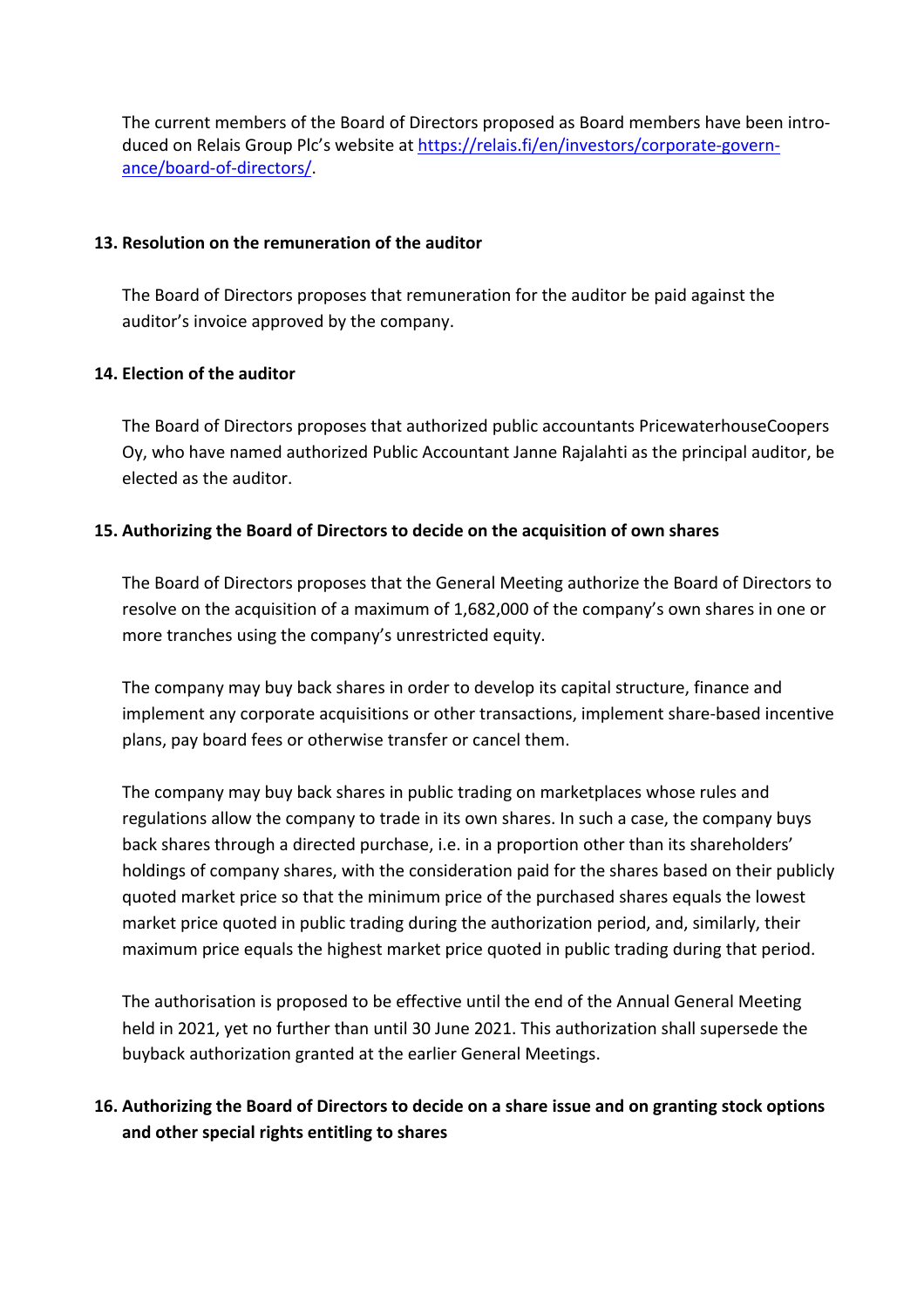The current members of the Board of Directors proposed as Board members have been introduced on Relais Group Plc's website at https://relais.fi/en/investors/corporate-governance/board-of-directors/.

#### **13. Resolution on the remuneration of the auditor**

The Board of Directors proposes that remuneration for the auditor be paid against the auditor's invoice approved by the company.

### **14. Election of the auditor**

The Board of Directors proposes that authorized public accountants PricewaterhouseCoopers Oy, who have named authorized Public Accountant Janne Rajalahti as the principal auditor, be elected as the auditor.

### **15. Authorizing the Board of Directors to decide on the acquisition of own shares**

The Board of Directors proposes that the General Meeting authorize the Board of Directors to resolve on the acquisition of a maximum of 1,682,000 of the company's own shares in one or more tranches using the company's unrestricted equity.

The company may buy back shares in order to develop its capital structure, finance and implement any corporate acquisitions or other transactions, implement share-based incentive plans, pay board fees or otherwise transfer or cancel them.

The company may buy back shares in public trading on marketplaces whose rules and regulations allow the company to trade in its own shares. In such a case, the company buys back shares through a directed purchase, i.e. in a proportion other than its shareholders' holdings of company shares, with the consideration paid for the shares based on their publicly quoted market price so that the minimum price of the purchased shares equals the lowest market price quoted in public trading during the authorization period, and, similarly, their maximum price equals the highest market price quoted in public trading during that period.

The authorisation is proposed to be effective until the end of the Annual General Meeting held in 2021, yet no further than until 30 June 2021. This authorization shall supersede the buyback authorization granted at the earlier General Meetings.

# **16. Authorizing the Board of Directors to decide on a share issue and on granting stock options and other special rights entitling to shares**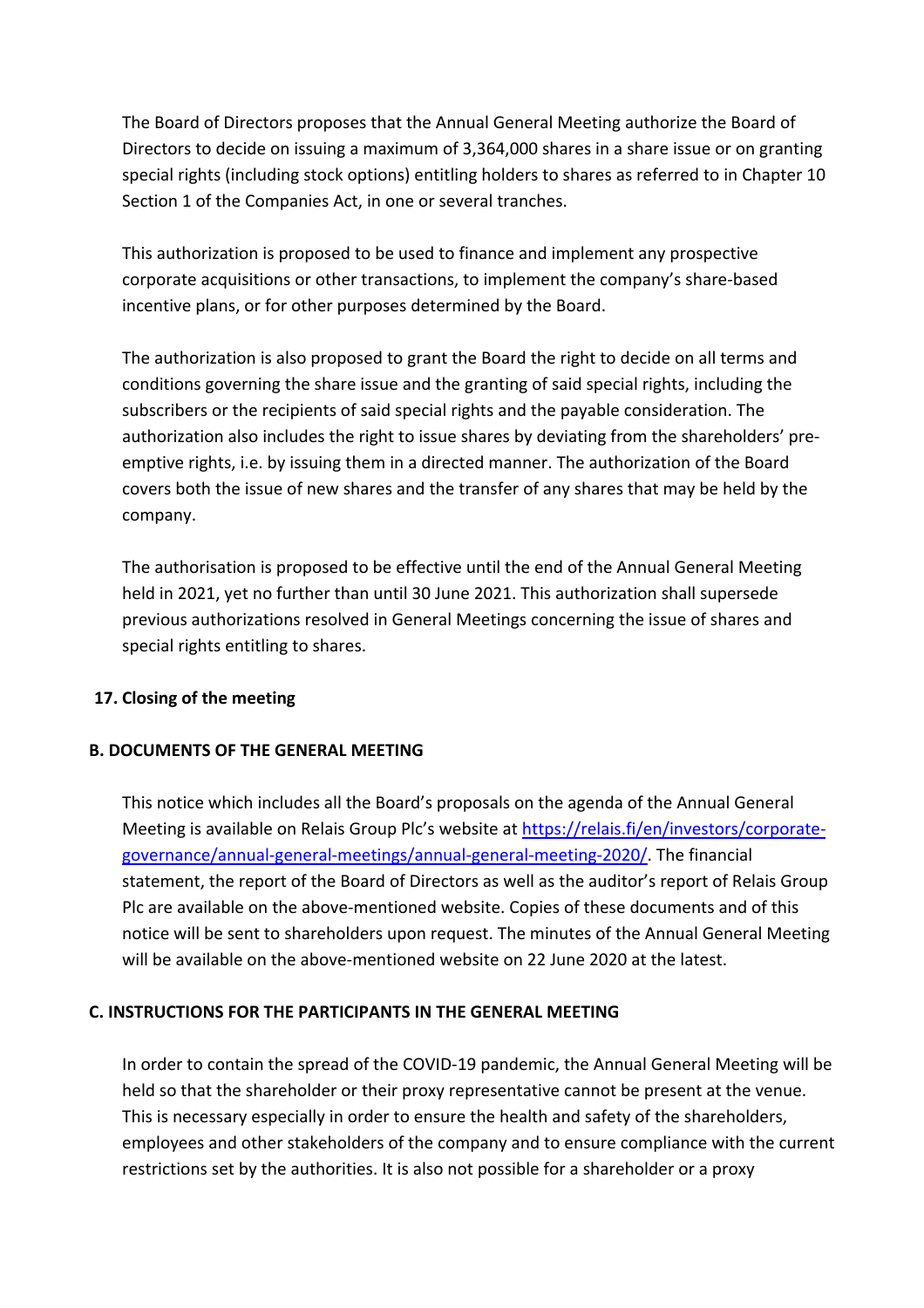The Board of Directors proposes that the Annual General Meeting authorize the Board of Directors to decide on issuing a maximum of 3,364,000 shares in a share issue or on granting special rights (including stock options) entitling holders to shares as referred to in Chapter 10 Section 1 of the Companies Act, in one or several tranches.

This authorization is proposed to be used to finance and implement any prospective corporate acquisitions or other transactions, to implement the company's share-based incentive plans, or for other purposes determined by the Board.

The authorization is also proposed to grant the Board the right to decide on all terms and conditions governing the share issue and the granting of said special rights, including the subscribers or the recipients of said special rights and the payable consideration. The authorization also includes the right to issue shares by deviating from the shareholders' preemptive rights, i.e. by issuing them in a directed manner. The authorization of the Board covers both the issue of new shares and the transfer of any shares that may be held by the company.

The authorisation is proposed to be effective until the end of the Annual General Meeting held in 2021, yet no further than until 30 June 2021. This authorization shall supersede previous authorizations resolved in General Meetings concerning the issue of shares and special rights entitling to shares.

### **17. Closing of the meeting**

### **B. DOCUMENTS OF THE GENERAL MEETING**

This notice which includes all the Board's proposals on the agenda of the Annual General Meeting is available on Relais Group Plc's website at https://relais.fi/en/investors/corporategovernance/annual-general-meetings/annual-general-meeting-2020/. The financial statement, the report of the Board of Directors as well as the auditor's report of Relais Group Plc are available on the above-mentioned website. Copies of these documents and of this notice will be sent to shareholders upon request. The minutes of the Annual General Meeting will be available on the above-mentioned website on 22 June 2020 at the latest.

### **C. INSTRUCTIONS FOR THE PARTICIPANTS IN THE GENERAL MEETING**

In order to contain the spread of the COVID-19 pandemic, the Annual General Meeting will be held so that the shareholder or their proxy representative cannot be present at the venue. This is necessary especially in order to ensure the health and safety of the shareholders, employees and other stakeholders of the company and to ensure compliance with the current restrictions set by the authorities. It is also not possible for a shareholder or a proxy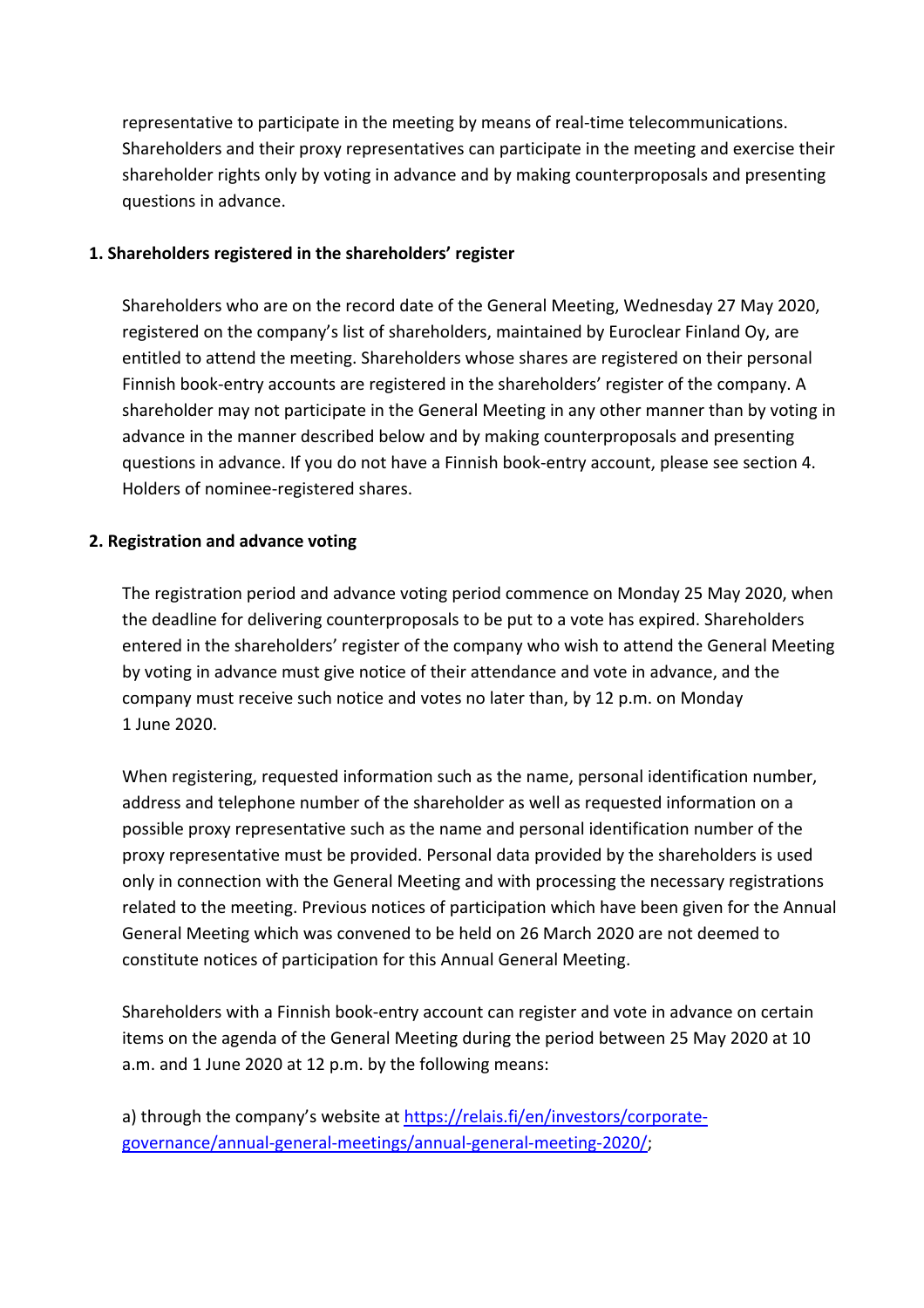representative to participate in the meeting by means of real-time telecommunications. Shareholders and their proxy representatives can participate in the meeting and exercise their shareholder rights only by voting in advance and by making counterproposals and presenting questions in advance.

#### **1. Shareholders registered in the shareholders' register**

Shareholders who are on the record date of the General Meeting, Wednesday 27 May 2020, registered on the company's list of shareholders, maintained by Euroclear Finland Oy, are entitled to attend the meeting. Shareholders whose shares are registered on their personal Finnish book-entry accounts are registered in the shareholders' register of the company. A shareholder may not participate in the General Meeting in any other manner than by voting in advance in the manner described below and by making counterproposals and presenting questions in advance. If you do not have a Finnish book-entry account, please see section 4. Holders of nominee-registered shares.

#### **2. Registration and advance voting**

The registration period and advance voting period commence on Monday 25 May 2020, when the deadline for delivering counterproposals to be put to a vote has expired. Shareholders entered in the shareholders' register of the company who wish to attend the General Meeting by voting in advance must give notice of their attendance and vote in advance, and the company must receive such notice and votes no later than, by 12 p.m. on Monday 1 June 2020.

When registering, requested information such as the name, personal identification number, address and telephone number of the shareholder as well as requested information on a possible proxy representative such as the name and personal identification number of the proxy representative must be provided. Personal data provided by the shareholders is used only in connection with the General Meeting and with processing the necessary registrations related to the meeting. Previous notices of participation which have been given for the Annual General Meeting which was convened to be held on 26 March 2020 are not deemed to constitute notices of participation for this Annual General Meeting.

Shareholders with a Finnish book-entry account can register and vote in advance on certain items on the agenda of the General Meeting during the period between 25 May 2020 at 10 a.m. and 1 June 2020 at 12 p.m. by the following means:

a) through the company's website at https://relais.fi/en/investors/corporategovernance/annual-general-meetings/annual-general-meeting-2020/;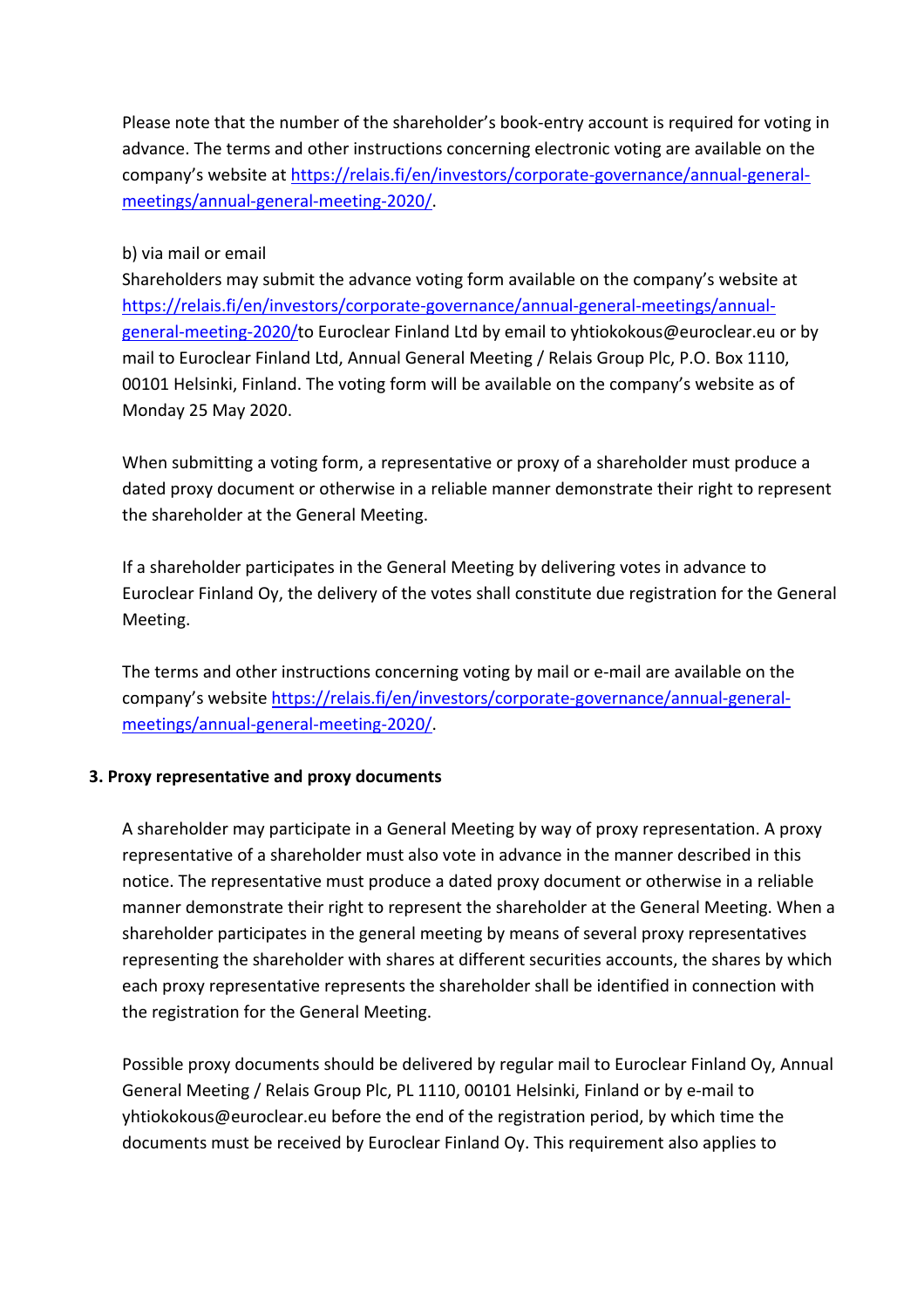Please note that the number of the shareholder's book-entry account is required for voting in advance. The terms and other instructions concerning electronic voting are available on the company's website at https://relais.fi/en/investors/corporate-governance/annual-generalmeetings/annual-general-meeting-2020/.

### b) via mail or email

Shareholders may submit the advance voting form available on the company's website at https://relais.fi/en/investors/corporate-governance/annual-general-meetings/annualgeneral-meeting-2020/to Euroclear Finland Ltd by email to yhtiokokous@euroclear.eu or by mail to Euroclear Finland Ltd, Annual General Meeting / Relais Group Plc, P.O. Box 1110, 00101 Helsinki, Finland. The voting form will be available on the company's website as of Monday 25 May 2020.

When submitting a voting form, a representative or proxy of a shareholder must produce a dated proxy document or otherwise in a reliable manner demonstrate their right to represent the shareholder at the General Meeting.

If a shareholder participates in the General Meeting by delivering votes in advance to Euroclear Finland Oy, the delivery of the votes shall constitute due registration for the General Meeting.

The terms and other instructions concerning voting by mail or e-mail are available on the company's website https://relais.fi/en/investors/corporate-governance/annual-generalmeetings/annual-general-meeting-2020/.

### **3. Proxy representative and proxy documents**

A shareholder may participate in a General Meeting by way of proxy representation. A proxy representative of a shareholder must also vote in advance in the manner described in this notice. The representative must produce a dated proxy document or otherwise in a reliable manner demonstrate their right to represent the shareholder at the General Meeting. When a shareholder participates in the general meeting by means of several proxy representatives representing the shareholder with shares at different securities accounts, the shares by which each proxy representative represents the shareholder shall be identified in connection with the registration for the General Meeting.

Possible proxy documents should be delivered by regular mail to Euroclear Finland Oy, Annual General Meeting / Relais Group Plc, PL 1110, 00101 Helsinki, Finland or by e-mail to yhtiokokous@euroclear.eu before the end of the registration period, by which time the documents must be received by Euroclear Finland Oy. This requirement also applies to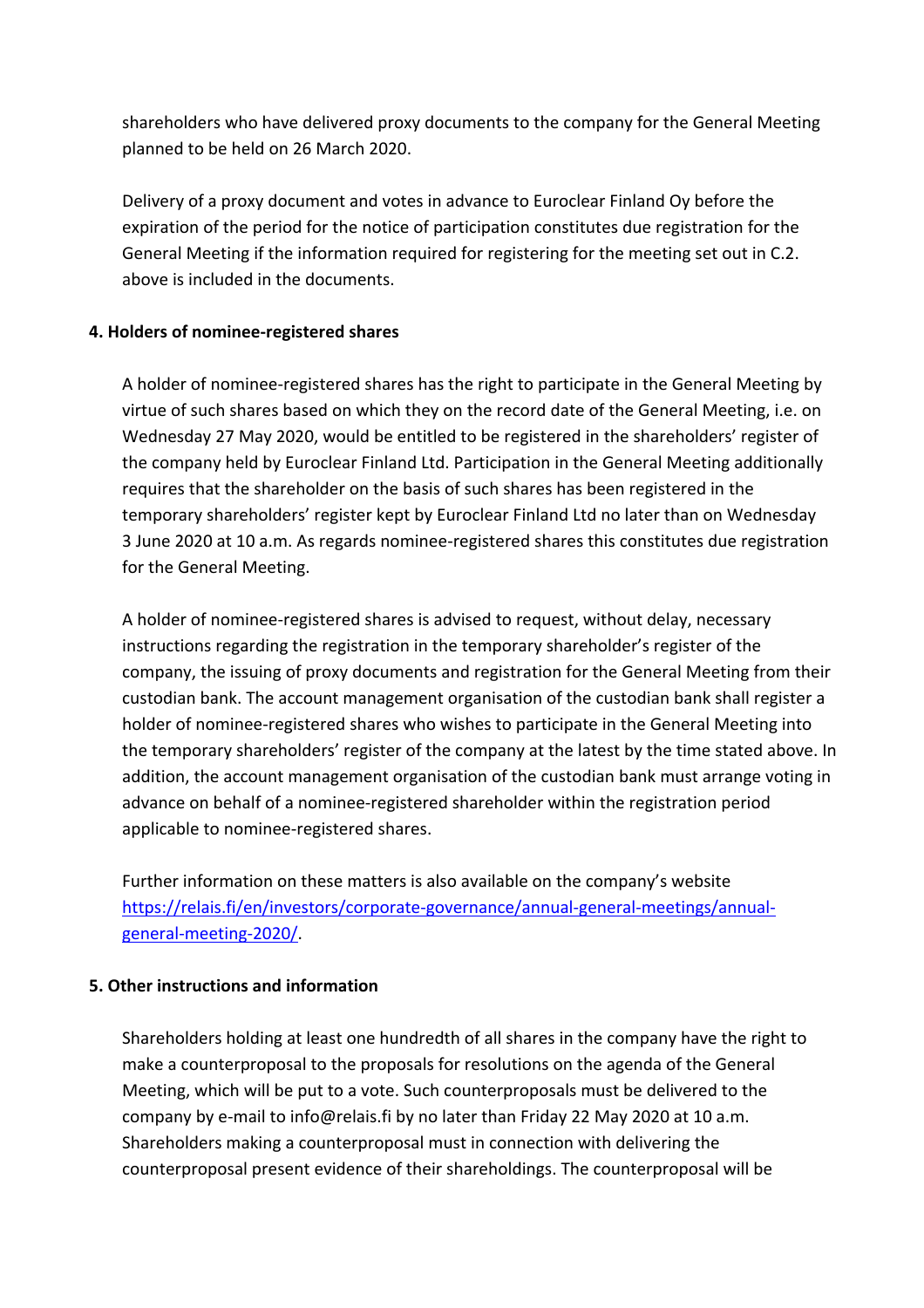shareholders who have delivered proxy documents to the company for the General Meeting planned to be held on 26 March 2020.

Delivery of a proxy document and votes in advance to Euroclear Finland Oy before the expiration of the period for the notice of participation constitutes due registration for the General Meeting if the information required for registering for the meeting set out in C.2. above is included in the documents.

### **4. Holders of nominee-registered shares**

A holder of nominee-registered shares has the right to participate in the General Meeting by virtue of such shares based on which they on the record date of the General Meeting, i.e. on Wednesday 27 May 2020, would be entitled to be registered in the shareholders' register of the company held by Euroclear Finland Ltd. Participation in the General Meeting additionally requires that the shareholder on the basis of such shares has been registered in the temporary shareholders' register kept by Euroclear Finland Ltd no later than on Wednesday 3 June 2020 at 10 a.m. As regards nominee-registered shares this constitutes due registration for the General Meeting.

A holder of nominee-registered shares is advised to request, without delay, necessary instructions regarding the registration in the temporary shareholder's register of the company, the issuing of proxy documents and registration for the General Meeting from their custodian bank. The account management organisation of the custodian bank shall register a holder of nominee-registered shares who wishes to participate in the General Meeting into the temporary shareholders' register of the company at the latest by the time stated above. In addition, the account management organisation of the custodian bank must arrange voting in advance on behalf of a nominee-registered shareholder within the registration period applicable to nominee-registered shares.

Further information on these matters is also available on the company's website https://relais.fi/en/investors/corporate-governance/annual-general-meetings/annualgeneral-meeting-2020/.

### **5. Other instructions and information**

Shareholders holding at least one hundredth of all shares in the company have the right to make a counterproposal to the proposals for resolutions on the agenda of the General Meeting, which will be put to a vote. Such counterproposals must be delivered to the company by e-mail to info@relais.fi by no later than Friday 22 May 2020 at 10 a.m. Shareholders making a counterproposal must in connection with delivering the counterproposal present evidence of their shareholdings. The counterproposal will be